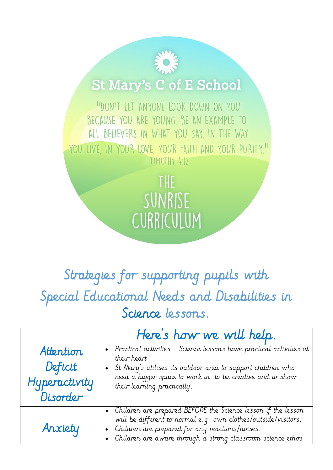## **St Mary's C of E School**

"DON'T LET ANYONE LOOK DOWN ON YOU BECAUSE YOU ARE YOUNG. BE AN EXAMPLE TO ALL BELIEVERS IN WHAT YOU SAY, IN THE WAY YOU LIVE IN YOUR LOVE YOUR FAITH AND YOUR PURITY." I TIMOTHY 4:12

> THE SUNRISE CURRICULUM

## Strategies for supporting pupils with Special Educational Needs and Disabilities in Science lessons.

|                                                   | Here's how we will help.                                                                                                                                                                                                                                      |
|---------------------------------------------------|---------------------------------------------------------------------------------------------------------------------------------------------------------------------------------------------------------------------------------------------------------------|
| Attention<br>Deficit<br>Hyperactivity<br>Disorder | • Practical activities - Science lessons have practical activities at<br>their heart<br>St Mary's utilises its outdoor area to support children who<br>$\bullet$<br>need a bigger space to work in, to be creative and to show<br>their learning practically. |
| Anxiety                                           | • Children are prepared BEFORE the Science lesson if the lesson<br>will be different to normal e.g. own clothes/outside/visitors.<br>Children are prepared for any reactions/noises.<br>Children are aware through a strong classroom science ethos           |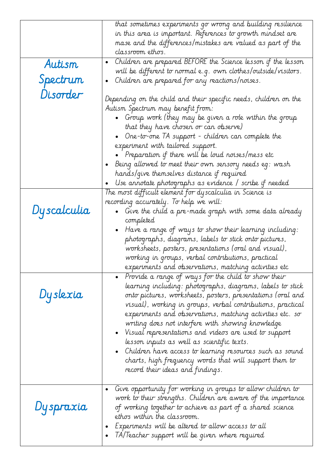|             | that sometimes experiments go wrong and building resilience<br>in this area is important. References to growth mindset are<br>mase and the differences/mistakes are valued as part of the<br>classroom ethos.                                                                                                                                                                                                                                                                                                                                                                                                                                  |
|-------------|------------------------------------------------------------------------------------------------------------------------------------------------------------------------------------------------------------------------------------------------------------------------------------------------------------------------------------------------------------------------------------------------------------------------------------------------------------------------------------------------------------------------------------------------------------------------------------------------------------------------------------------------|
| Autism      | Children are prepared BEFORE the Science lesson if the lesson<br>$\bullet$                                                                                                                                                                                                                                                                                                                                                                                                                                                                                                                                                                     |
| Spectrum    | will be different to normal e.g. own clothes/outside/visitors.<br>Children are prepared for any reactions/noises.<br>$\bullet$                                                                                                                                                                                                                                                                                                                                                                                                                                                                                                                 |
| Disorder    | Depending on the child and their specific needs, children on the<br>Autism Spectrum may benefit from:<br>$\bullet$ Group work (they may be given a role within the group<br>that they have chosen or can observe)<br>One-to-one TA support - children can complete the<br>experiment with tailored support.<br>Preparation if there will be loud noises/mess etc<br>Being allowed to meet their own sensory needs eg: wash<br>$\bullet$<br>hands/give themselves distance if required<br>Use annotate photographs as evidence / scribe if needed                                                                                               |
| Dyscalculia | The most difficult element for dyscalculia in Science is<br>recording accurately. To help we will:<br>$\bullet$ Give the child a pre-made graph with some data already<br>completed<br>Have a range of ways to show their learning including:<br>photographs, diagrams, labels to stick onto pictures,<br>worksheets, posters, presentations (oral and visual),<br>working in groups, verbal contributions, practical<br>experiments and observations, matching activities etc                                                                                                                                                                 |
| Dyslexia    | Provide a range of ways for the child to show their<br>learning including: photographs, diagrams, labels to stick<br>onto pictures, worksheets, posters, presentations (oral and<br>visual), working in groups, verbal contributions, practical<br>experiments and observations, matching activities etc. so<br>writing does not interfere with showing knowledge<br>$\bullet$ . Visual representations and videos are used to support<br>lesson inputs as well as scientific texts.<br>Children have access to learning resources such as sound<br>charts, high frequency words that will support them to<br>record their ideas and findings. |
| Dyspraxia   | Give opportunity for working in groups to allow children to<br>$\bullet$<br>work to their strengths. Children are aware of the importance<br>of working together to achieve as part of a shared science<br>ethos within the classroom.<br>Experiments will be altered to allow access to all<br>IA/leacher support will be given where required                                                                                                                                                                                                                                                                                                |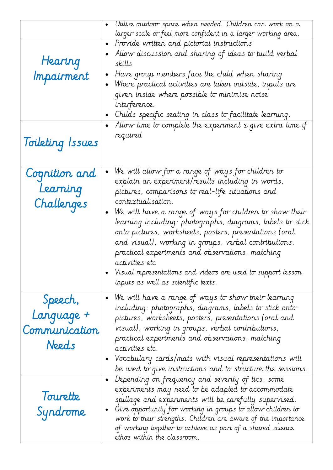| Utilise outdoor space when needed. Children can work on a                                                                   |
|-----------------------------------------------------------------------------------------------------------------------------|
| larger scale or feel more confident in a larger working area.                                                               |
| Provide written and pictorial instructions<br>$\bullet$                                                                     |
| Allow discussion and sharing of ideas to build verbal<br>$\bullet$                                                          |
| skills                                                                                                                      |
| Have group members face the child when sharing<br>$\bullet$                                                                 |
| Where practical activities are taken outside, inputs are<br>$\bullet$                                                       |
| given inside where possible to minimise noise                                                                               |
| interference.                                                                                                               |
| Childs specific seating in class to facilitate learning.<br>$\bullet$                                                       |
| Allow time to complete the experiment s give extra time if                                                                  |
| required                                                                                                                    |
|                                                                                                                             |
|                                                                                                                             |
|                                                                                                                             |
| We will allow for a range of ways for children to<br>$\bullet$                                                              |
| explain an experiment/results including in words,                                                                           |
| pictures, comparisons to real-life situations and                                                                           |
| contextualisation.                                                                                                          |
| We will have a range of ways for children to show their<br>$\bullet$                                                        |
| learning including: photographs, diagrams, labels to stick                                                                  |
| onto pictures, worksheets, posters, presentations (oral                                                                     |
| and visual), working in groups, verbal contributions,                                                                       |
| practical experiments and observations, matching                                                                            |
| activities etc                                                                                                              |
| Visual representations and videos are used to support lesson                                                                |
| inputs as well as scientific texts.                                                                                         |
| We will have a range of ways to show their learning<br>$\bullet$                                                            |
| including: photographs, diagrams, labels to stick onto                                                                      |
| pictures, worksheets, posters, presentations (oral and                                                                      |
| visual), working in groups, verbal contributions,                                                                           |
|                                                                                                                             |
| practical experiments and observations, matching                                                                            |
| activities etc.                                                                                                             |
| Vocabulary cards/mats with visual representations will                                                                      |
| be used to give instructions and to structure the sessions.                                                                 |
| Depending on frequency and severity of tics, some<br>$\bullet$                                                              |
| experiments may need to be adapted to accommodate                                                                           |
| spillage and experiments will be carefully supervised.                                                                      |
| Give opportunity for working in groups to allow children to                                                                 |
| work to their strengths. Children are aware of the importance<br>of working together to achieve as part of a shared science |
| ethos within the classroom.                                                                                                 |
|                                                                                                                             |